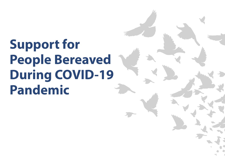# **Support for People Bereaved During COVID-19 Pandemic**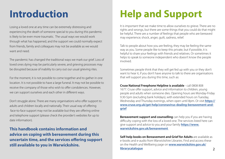Losing a loved one at any time can be extremely distressing and experiencing the death of someone special to you during this pandemic is likely to be even more traumatic. The usual ways we would work through what has happened, and the support we could normally expect from friends, family and colleagues may not be available as we would want and need.

The pandemic has changed the traditional ways we mark our grief. Loss of loved ones dying may be particularly severe, and grieving processes may be disrupted because of inability to carry out our usual grieving rites.

For the moment, it is not possible to come together and to gather in one location. It is not possible to have a large funeral. It may not be possible to receive the company of those who wish to offer condolences. However, we can support ourselves and each other in different ways.

Don't struggle alone. There are many organisations who offer support to adults and children locally and nationally. Their usual way of offering face-to-face support may not be available but they are offering online and telephone support (please check the provider's websites for up to date information).

**This handbook contains information and advice on coping with bereavement during this uncertain time, and the services offering support still available to you in Warwickshire.**

# **Introduction Help and Support**

It is important that we make time to allow ourselves to grieve. There are no rights and wrongs, but there are some things that you could do that might be helpful. There are a number of feelings that people who are bereaved may experience; shock, anger, guilt, sadness, relief.

Talk to people about how you are feeling, they may be feeling the same way as you. Some people like to keep this private, but if possible, it is helpful to share your feelings with friends and relatives. Or sometimes it helps to speak to someone independent who doesn't know the people involved.

Sometimes people think that they will get fed up with you or they don't want to hear it, if you don't have anyone to talk to there are organisations that will support you during this time, such as:

**Cruse National Freephone Helpline is available** - call 0808 808 1677. Cruse offer support, advice and information to children, young people and adults when someone dies. Opening hours are Monday-Friday 9.30-5pm (excluding bank holidays), with extended hours on Tuesday, Wednesday and Thursday evenings, when open until 8pm. Or visit **[https://](https://www.cruse.org.uk/get-help/coronavirus-dealing-bereavement-and-grief) [www.cruse.org.uk/get-help/coronavirus-dealing-bereavement-and](https://www.cruse.org.uk/get-help/coronavirus-dealing-bereavement-and-grief)[grief](https://www.cruse.org.uk/get-help/coronavirus-dealing-bereavement-and-grief)**

**Bereavement support and counselling** can help you if you are having difficulty coping with the loss of a loved one. The services listed here can give support and advice to you and your family **[https://www.](https://www.warwickshire.gov.uk/bereavement) [warwickshire.gov.uk/bereavement](https://www.warwickshire.gov.uk/bereavement)** 

**Self-help books on Bereavement and Grief for Adults** are available as e-books and e-audio from Warwickshire Libraries. Find and access these on the Health and Wellbeing page on **[www.warwickshire.gov.uk/](https://library.warwickshire.gov.uk/iguana/www.main.cls?p=ec959c66-8eae-11e1-8539-1c0cc229eddc&v=6667d21e-c83f-11e2-b019-1c0cc229eddc&p=ec959c66-8eae-11e1-8539-1c0cc229eddc&v=6667d21e-c83f-11e2-b019-1c0cc229eddc) [librarycatalogue](https://library.warwickshire.gov.uk/iguana/www.main.cls?p=ec959c66-8eae-11e1-8539-1c0cc229eddc&v=6667d21e-c83f-11e2-b019-1c0cc229eddc&p=ec959c66-8eae-11e1-8539-1c0cc229eddc&v=6667d21e-c83f-11e2-b019-1c0cc229eddc)**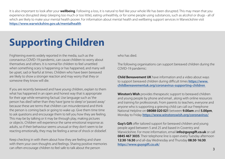It is also important to look after your **wellbeing**. Following a loss, it is natural to feel like your whole life has been disrupted. This may mean that you experience disrupted sleep (sleeping too much or too little), eating unhealthily, or for some people using substances, such as alcohol or drugs - all of which are likely to make your mental health poorer. For information about mental health and wellbeing support services in Warwickshire visit **<https://www.warwickshire.gov.uk/mentalhealth>**

# **Supporting Children**

Frightening events widely reported in the media, such as the coronavirus COVID-19 pandemic, can cause children to worry about themselves and others. It is normal for children to feel unsettled when something scary is happening or has happened, and many will be upset, sad or fearful at times. Children who have been bereaved are likely to show a stronger reaction and may worry that they or someone they know will die.

If you are recently bereaved and have young children, explain to them what has happened in an open and honest way that is appropriate for their age while remaining factual. Use language such as 'the person has died' rather than they have 'gone to sleep' or 'passed away' because these are terms that children can misunderstand and think the person is coming back or going to wake up. Give them time time to ask questions and encourage them to tell you how they are feeling. This may be by talking or it may be through play, making pictures or objects. Children will experience the same emotional response as adults, so if their behaviour seems unusual or they don't seem to be reacting emotionally, they may be feeling a sense of shock or disbelief.

Keep checking in with them about how they are feeling and share with them your own thoughts and feelings. Sharing positive memories can often encourage children to feel safe to talk about the person

who has died.

The following organisations can support bereaved children during the COVID-19 pandemic:

**Child Bereavement UK** have information and a video about ways to support bereaved children during difficult times **[https://www.](https://www.childbereavementuk.org/coronavirus-supporting-children) [childbereavementuk.org/coronavirus-supporting-children](https://www.childbereavementuk.org/coronavirus-supporting-children)** 

**Winston's Wish** provides therapeutic support to bereaved children and young people by phone and email , along with online resources and training for professionals. From parents to teachers, everyone and anyone who is supporting a grieving child can call our Freephone National Helpline on **08088 020 021** between **9.00am** and **5.00pm**, Monday to Friday **<https://www.winstonswish.org/coronavirus/>**

**Guy's Gift** offer tailored support for bereaved children and young people aged between 5 and 25 and based in Coventry and Warwickshire. For more information, email **info@guysgift.co.uk** or call **0845 467 3035**. Their telephone line is open every Tuesday afternoon **12:30**-**16:30** and all-day Wednesday and Thursday **08:30**-**16:30**. **<https://www.guysgift.co.uk/>**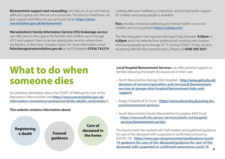**Bereavement support and counselling** can help you if you are having difficulty coping with the loss of a loved one. The services listed here can give support and advice to you and your family **[https://www.](https://www.warwickshire.gov.uk/bereavement) [warwickshire.gov.uk/bereavement](https://www.warwickshire.gov.uk/bereavement)** 

### **Warwickshire's Family Information Service (FIS) brokerage service**

can offer one to one support for families with children up to the age of 25 and support them to access appropriate services where there are barriers, or they have complex needs. For more information, email **fisbrokerage@warwickshire.gov.uk** or via FIS helpline **01926 742274**. Looking after your wellbeing is important, and mental health support for children and young people is available:

**Rise** provides emotional wellbeing and mental health services for children and young people **<https://cwrise.com/>**

The Rise Navigation Hub operates Monday-Friday between **8.00am** to **6.00pm** and is for referrals from professionals working with children and young people up to the age of 17. During COVID-19 they are also excepting referrals from parents/carers. Please call **0300 200 2021**.

### **What to do when someone dies**

For practical information about the COVID-19 Pathway for Care of the Deceased in Warwickshire visit **[https://www.warwickshire.gov.uk/](https://www.warwickshire.gov.uk/information-coronavirus/coronavirus-births-deaths-ceremonies/1) [information-coronavirus/coronavirus-births-deaths-ceremonies/1](https://www.warwickshire.gov.uk/information-coronavirus/coronavirus-births-deaths-ceremonies/1)** 

**This website contains information about:**

**Registering a death Funeral guidance Care of deceased in the home**

**Local Hospital Bereavement Services** can offer practical support to families following the death of a loved one in their care:

- North Warwickshire (George Eliot Hospital) **[http://www.geh.nhs.uk/](http://www.geh.nhs.uk/directory-of-services/specialties-and-services/b/bereavement-services-at-george-eliot-hospital/bereavement-help-and-support/)  [directory-of-services/specialties-and-services/b/bereavement](http://www.geh.nhs.uk/directory-of-services/specialties-and-services/b/bereavement-services-at-george-eliot-hospital/bereavement-help-and-support/)  [services-at-george-eliot-hospital/bereavement-help-and](http://www.geh.nhs.uk/directory-of-services/specialties-and-services/b/bereavement-services-at-george-eliot-hospital/bereavement-help-and-support/)   [support/](http://www.geh.nhs.uk/directory-of-services/specialties-and-services/b/bereavement-services-at-george-eliot-hospital/bereavement-help-and-support/)**
- Rugby (Hospital of St Cross) **[https://www.uhcw.nhs.uk/caring-for](https://www.uhcw.nhs.uk/caring-for-you/bereavement-services/)  [you/bereavement-services/](https://www.uhcw.nhs.uk/caring-for-you/bereavement-services/)**
- South Warwickshire (South Warwickshire Foundation NHS Trust) - **[https://www.swft.nhs.uk/our-services/adults-out-hospital](https://www.swft.nhs.uk/our-services/adults-out-hospital-services/bereavement-service)  [services/bereavement-service](https://www.swft.nhs.uk/our-services/adults-out-hospital-services/bereavement-service)**

The Government has worked with Faith leaders and published guidance for care of the deceased with suspected or confirmed coronavirus (COVID-19) - **[https://www.gov.uk/government/publications/covid-](https://www.gov.uk/government/publications/covid-19-guidance-for-care-of-the-deceased/guidance-for-care-of-the-deceased-with-suspected-or-confirmed-coronavirus-covid-19)[19-guidance-for-care-of-the-deceased/guidance-for-care-of-the](https://www.gov.uk/government/publications/covid-19-guidance-for-care-of-the-deceased/guidance-for-care-of-the-deceased-with-suspected-or-confirmed-coronavirus-covid-19)[deceased-with-suspected-or-confirmed-coronavirus-covid-19](https://www.gov.uk/government/publications/covid-19-guidance-for-care-of-the-deceased/guidance-for-care-of-the-deceased-with-suspected-or-confirmed-coronavirus-covid-19)**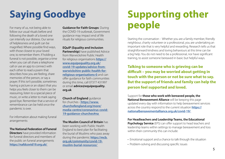For many of us, not being able to follow our usual rituals before and following the death of a loved one can intensify our distress. Our sense of helplessness and guilt can be magnified. Where possible find ways, with those closest to your loved one, to remember them. If holding a funeral is not possible, organise a time when you can all share a telephone call or use an app to connect with each other to read a poem that describes how you are feeling, share memories of the person, or say a prayer. If this isn't possible, sometimes having a picture or an object that you helps you feels closer to them can be reassuring, listen to a special piece of music, or write a letter to mark saying good bye. Remember that a service of remembrance can be held once the pandemic is over.

For information about making funeral arrangements:

**The National Federation of Funeral Directors** have provided information for funeral directors and members of the public on funeral arrangements **<https://nafdcovid19.org.uk/>**

**Guidance for Faith Groups**: During the COVID-19 outbreak, Government guidance may impact end of life rituals for religious communities.

**EQuIP (Equality and Inclusion Partnership)** have published Advice from Warwickshire Public Health for religious organisations **[https://](https://www.equipequality.org.uk/covid-19-updates/advice-from-warwickshire-public-health-for-religious-organisations-0) [www.equipequality.org.uk/](https://www.equipequality.org.uk/covid-19-updates/advice-from-warwickshire-public-health-for-religious-organisations-0) [covid-19-updates/advice-from](https://www.equipequality.org.uk/covid-19-updates/advice-from-warwickshire-public-health-for-religious-organisations-0)[warwickshire-public-health-for](https://www.equipequality.org.uk/covid-19-updates/advice-from-warwickshire-public-health-for-religious-organisations-0)[religious-organisations-0](https://www.equipequality.org.uk/covid-19-updates/advice-from-warwickshire-public-health-for-religious-organisations-0)** and can offer guidance for faith communities during this time, call 07377 431997 or email **advice@equipequality. org.uk**

**Church of England** guidance for churches - **[https://www.](https://www.churchofengland.org/more/media-centre/coronavirus-covid-19-guidance-churches#na) [churchofengland.org/more/](https://www.churchofengland.org/more/media-centre/coronavirus-covid-19-guidance-churches#na) [media-centre/coronavirus-covid-](https://www.churchofengland.org/more/media-centre/coronavirus-covid-19-guidance-churches#na)[19-guidance-churches#na](https://www.churchofengland.org/more/media-centre/coronavirus-covid-19-guidance-churches#na)** 

**The Muslim Council of Britain** has been working with Public Health England to best plan for facilitating the burial of Muslims who pass away during the pandemic **[https://mcb.](https://mcb.org.uk/community/covid-19-muslim-burial-resources/) [org.uk/community/covid-19](https://mcb.org.uk/community/covid-19-muslim-burial-resources/) [muslim-burial-resources/](https://mcb.org.uk/community/covid-19-muslim-burial-resources/)** 

## **Saying Goodbye Supporting other people**

Starting the conversation - Whether you are a family member, friendly neighbour, charity volunteer or a professional, you are undertaking an important role that is very helpful and rewarding. Research tells us that straightforward kindness and loving behaviours at this time can be a big help. You do not need to be a professional, nor have significant training, to assist someone bereaved in basic but helpful ways.

**Talking to someone who is grieving can be difficult – you may be worried about getting in touch with the person or not be sure what to say. But the support of friends and family can help the person feel supported and loved.**

Support for **those who work with bereaved people, the National Bereavement Alliance** will be keeping this page updated every day with information to help bereavement services across the country respond to the current situation **[https://](https://nationalbereavementalliance.org.uk/covid-19/) [nationalbereavementalliance.org.uk/covid-19/](https://nationalbereavementalliance.org.uk/covid-19/)** 

**For Headteachers and Leadership Teams, the Educational Psychology Service** (EPS) can offer support to head teachers and

leadership teams within settings to manage bereavement and loss within their community this can include:

- Emotional support and a chance to talk through the situation
- Problem-solving and discussing specific issues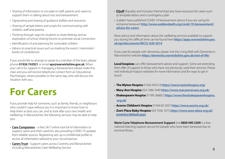- Sharing of information to circulate to staff, parents and carers to support them in talking about loss and bereavement
- Signposting and sharing of guidance leaflets and resources
- Sharing of sample letters and scripts for communicating with children, staff and parents
- Thinking through ways for students to share feelings and an exploration of school sharing forums to promote social connection
- Identification of and planning for vulnerable children
- Advice on practical issues such as marking the event / memorials / books of condolences

If you would like to arrange to speak to a member of the team, please phone **01926 742921** or email **eps@warwickshire.gov.uk**. When your call is for support in managing a bereavement please make this clear and you will receive telephone contact from an Educational Psychologist, where possible on the same day, who will discuss the situation with you.

## **For Carers**

If you provide help for someone, such as family, friends, or neighbours who couldn't cope without you it is important to know how to help them as best you can, and to look after your own health and wellbeing. In Warwickshire, the following services may be able to help you:

- **[Care Companion](https://www.carecompanion.org.uk/)** a free 24/7 online tool full of information to support carers and their cared-for, also providing COVID-19 updates from reliable sources. Registering sets up a confidential profile to access all information tailored to your circumstances.
- **[Carers Trust](https://www.carerstrusthofe.org.uk/)** Support carers across Coventry and Warwickshire including Warwickshire Carer Wellbeing Service
- **[EQuIP](https://www.equipequality.org.uk/covid-19-updates/support-for-carers)** (Equality and Inclusion Partnership) also have resources for carers such as template letters and a contingency plan
- Sudden have published COVID-19 bereavement advice if you are caring for someone bereaved **[http://www.suddendeath.org/covid-19-bereavement/](http://www.suddendeath.org/covid-19-bereavement/advice-for-carers)  [advice-for-carers](http://www.suddendeath.org/covid-19-bereavement/advice-for-carers)**

More advice and information about the wellbeing services available to support you during this difficult time can be found here **[https://apps.warwickshire.gov.](https://apps.warwickshire.gov.uk/api/documents/WCCC-630-2014) [uk/api/documents/WCCC-630-2014](https://apps.warwickshire.gov.uk/api/documents/WCCC-630-2014)**

If you care for people with dementia, please visit the Living Well with Dementia in Warwickshire website **<https://dementia.warwickshire.gov.uk/end-of-life/>**

**Local hospices** can offer bereavement advice and support. Some are extending their offer of support to those who have not previously used their services. Please visit individual hospice websites for more information and for ways to get in touch.

- **The Myton Hospice** 01926 492518 **<https://www.mytonhospice.org/>**
- **Mary Ann Hospice** 024 7686 5440 **<https://www.maryannevans.org.uk/>**
- **Shakespeare Hospice** 01789 266852 **[https://www.theshakespearehospice.](https://www.theshakespearehospice.org.uk/)  [org.uk/](https://www.theshakespearehospice.org.uk/)**
- **Acorns Children's Hospice** 01564 82 5037 **<https://www.acorns.org.uk/>**
- **Zoe's Place Baby Hospice** 024 7636 1675 **[https://www.zoes-place.org.uk/](https://www.zoes-place.org.uk/coventry/default.aspx)  [coventry/default.aspx](https://www.zoes-place.org.uk/coventry/default.aspx)**

**Marie Curie Telephone Bereavement Support** line **0800 090 2309** is a free national listening support service for people who have been bereaved due to terminal illness.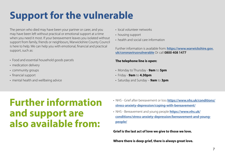# **Support for the vulnerable**

The person who died may have been your partner or carer, and you may have been left without practical or emotional support at a time when you need it most. If your bereavement leaves you isolated without support from family, friends or neighbours, Warwickshire County Council is here to help. We can help you with emotional, financial and practical support, such as:

- Food and essential household goods parcels
- medication delivery
- community groups
- financial support
- mental health and wellbeing advice
- local volunteer networks
- housing support
- health and social care information

Further information is available from: **[https://www.warwickshire.gov.](https://www.warwickshire.gov.uk/coronavirusvulnerable) [uk/coronavirusvulnerable](https://www.warwickshire.gov.uk/coronavirusvulnerable)** Or call **0800 408 1477**

### **The telephone line is open:**

- Monday to Thursday **9am** to **5pm**
- Friday **9am** to **4.30pm**
- Saturday and Sunday **9am** to **3pm**

## **Further information and support are also available from:**

- NHS Grief after bereavement or loss **[https://www.nhs.uk/conditions/](https://www.nhs.uk/conditions/stress-anxiety-depression/coping-with-bereavement/)  [stress-anxiety-depression/coping-with-bereavement/](https://www.nhs.uk/conditions/stress-anxiety-depression/coping-with-bereavement/)**
- NHS Bereavement and young people **[https://www.nhs.uk/](https://www.nhs.uk/conditions/stress-anxiety-depression/bereavement-and-young-people/)  [conditions/stress-anxiety-depression/bereavement-and-young](https://www.nhs.uk/conditions/stress-anxiety-depression/bereavement-and-young-people/)  [people/](https://www.nhs.uk/conditions/stress-anxiety-depression/bereavement-and-young-people/)**

**Grief is the last act of love we give to those we love.**

**Where there is deep grief, there is always great love.**